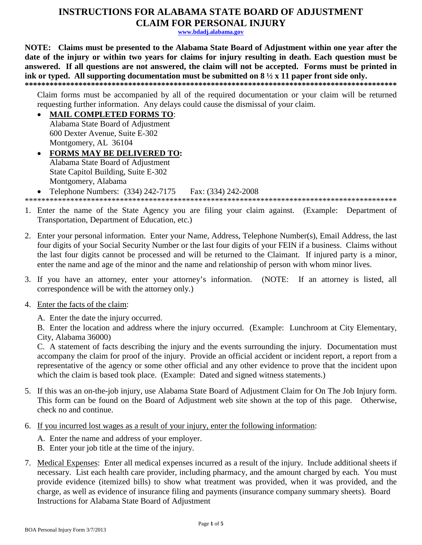## **INSTRUCTIONS FOR ALABAMA STATE BOARD OF ADJUSTMENT CLAIM FOR PERSONAL INJURY**

www.bdadj.alabama.gov

NOTE: Claims must be presented to the Alabama State Board of Adjustment within one year after the date of the injury or within two years for claims for injury resulting in death. Each question must be answered. If all questions are not answered, the claim will not be accepted. Forms must be printed in ink or typed. All supporting documentation must be submitted on  $8\frac{1}{2}x$  11 paper front side only. 

Claim forms must be accompanied by all of the required documentation or your claim will be returned requesting further information. Any delays could cause the dismissal of your claim.

- **MAIL COMPLETED FORMS TO:**  $\bullet$ Alabama State Board of Adjustment 600 Dexter Avenue, Suite E-302 Montgomery, AL 36104
- **FORMS MAY BE DELIVERED TO:** Alabama State Board of Adjustment State Capitol Building, Suite E-302 Montgomery, Alabama Telephone Numbers: (334) 242-7175 Fax: (334) 242-2008

- 1. Enter the name of the State Agency you are filing your claim against. (Example: Department of Transportation, Department of Education, etc.)
- 2. Enter your personal information. Enter your Name, Address, Telephone Number(s), Email Address, the last four digits of your Social Security Number or the last four digits of your FEIN if a business. Claims without the last four digits cannot be processed and will be returned to the Claimant. If injured party is a minor, enter the name and age of the minor and the name and relationship of person with whom minor lives.
- 3. If you have an attorney, enter your attorney's information. (NOTE: If an attorney is listed, all correspondence will be with the attorney only.)
- 4. Enter the facts of the claim:
	- A. Enter the date the injury occurred.

B. Enter the location and address where the injury occurred. (Example: Lunchroom at City Elementary, City, Alabama 36000)

C. A statement of facts describing the injury and the events surrounding the injury. Documentation must accompany the claim for proof of the injury. Provide an official accident or incident report, a report from a representative of the agency or some other official and any other evidence to prove that the incident upon which the claim is based took place. (Example: Dated and signed witness statements.)

- 5. If this was an on-the-job injury, use Alabama State Board of Adjustment Claim for On The Job Injury form. This form can be found on the Board of Adjustment web site shown at the top of this page. Otherwise, check no and continue.
- 6. If you incurred lost wages as a result of your injury, enter the following information:
	- A. Enter the name and address of your employer.
	- B. Enter your job title at the time of the injury.
- 7. Medical Expenses: Enter all medical expenses incurred as a result of the injury. Include additional sheets if necessary. List each health care provider, including pharmacy, and the amount charged by each. You must provide evidence (itemized bills) to show what treatment was provided, when it was provided, and the charge, as well as evidence of insurance filing and payments (insurance company summary sheets). Board Instructions for Alabama State Board of Adjustment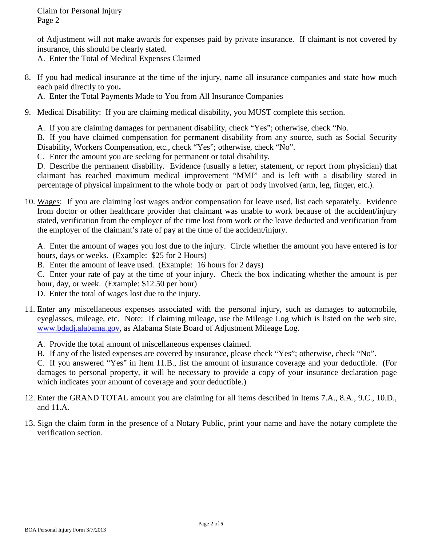Claim for Personal Injury Page 2

of Adjustment will not make awards for expenses paid by private insurance. If claimant is not covered by insurance, this should be clearly stated.

A. Enter the Total of Medical Expenses Claimed

8. If you had medical insurance at the time of the injury, name all insurance companies and state how much each paid directly to you**.**

A. Enter the Total Payments Made to You from All Insurance Companies

9. Medical Disability: If you are claiming medical disability, you MUST complete this section.

A. If you are claiming damages for permanent disability, check "Yes"; otherwise, check "No.

B. If you have claimed compensation for permanent disability from any source, such as Social Security Disability, Workers Compensation, etc., check "Yes"; otherwise, check "No".

C. Enter the amount you are seeking for permanent or total disability.

D. Describe the permanent disability. Evidence (usually a letter, statement, or report from physician) that claimant has reached maximum medical improvement "MMI" and is left with a disability stated in percentage of physical impairment to the whole body or part of body involved (arm, leg, finger, etc.).

10. Wages: If you are claiming lost wages and/or compensation for leave used, list each separately. Evidence from doctor or other healthcare provider that claimant was unable to work because of the accident/injury stated, verification from the employer of the time lost from work or the leave deducted and verification from the employer of the claimant's rate of pay at the time of the accident/injury.

A. Enter the amount of wages you lost due to the injury. Circle whether the amount you have entered is for hours, days or weeks. (Example: \$25 for 2 Hours)

B. Enter the amount of leave used. (Example: 16 hours for 2 days)

C. Enter your rate of pay at the time of your injury. Check the box indicating whether the amount is per hour, day, or week. (Example: \$12.50 per hour)

D. Enter the total of wages lost due to the injury.

- 11. Enter any miscellaneous expenses associated with the personal injury, such as damages to automobile, eyeglasses, mileage, etc. Note: If claiming mileage, use the Mileage Log which is listed on the web site, www.bdadj.alabama.gov, as Alabama State Board of Adjustment Mileage Log.
	- A. Provide the total amount of miscellaneous expenses claimed.

B. If any of the listed expenses are covered by insurance, please check "Yes"; otherwise, check "No".

C. If you answered "Yes" in Item 11.B., list the amount of insurance coverage and your deductible. (For damages to personal property, it will be necessary to provide a copy of your insurance declaration page which indicates your amount of coverage and your deductible.)

- 12. Enter the GRAND TOTAL amount you are claiming for all items described in Items 7.A., 8.A., 9.C., 10.D., and 11.A.
- 13. Sign the claim form in the presence of a Notary Public, print your name and have the notary complete the verification section.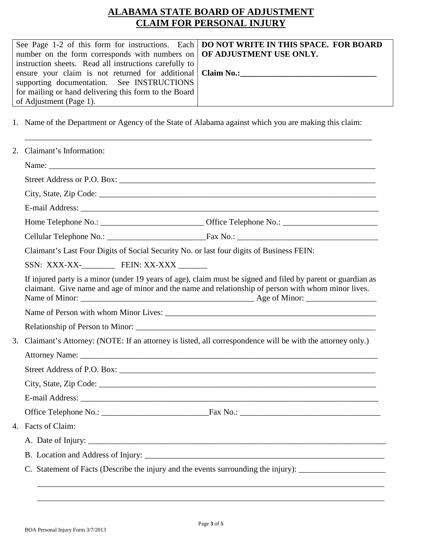## **ALABAMA STATE BOARD OF ADJUSTMENT CLAIM FOR PERSONAL INJURY**

|                                                                               | See Page 1-2 of this form for instructions. Each   DO NOT WRITE IN THIS SPACE. FOR BOARD |
|-------------------------------------------------------------------------------|------------------------------------------------------------------------------------------|
| number on the form corresponds with numbers on <b>OF ADJUSTMENT USE ONLY.</b> |                                                                                          |
| instruction sheets. Read all instructions carefully to                        |                                                                                          |
| ensure your claim is not returned for additional   Claim No.:                 |                                                                                          |
| supporting documentation. See INSTRUCTIONS                                    |                                                                                          |
| for mailing or hand delivering this form to the Board                         |                                                                                          |
| of Adjustment (Page 1).                                                       |                                                                                          |

1. Name of the Department or Agency of the State of Alabama against which you are making this claim:

| 2. Claimant's Information:                     |                                                                                                                                                                                                                     |  |  |
|------------------------------------------------|---------------------------------------------------------------------------------------------------------------------------------------------------------------------------------------------------------------------|--|--|
|                                                |                                                                                                                                                                                                                     |  |  |
|                                                |                                                                                                                                                                                                                     |  |  |
|                                                |                                                                                                                                                                                                                     |  |  |
|                                                |                                                                                                                                                                                                                     |  |  |
|                                                |                                                                                                                                                                                                                     |  |  |
|                                                |                                                                                                                                                                                                                     |  |  |
|                                                | Claimant's Last Four Digits of Social Security No. or last four digits of Business FEIN:                                                                                                                            |  |  |
| SSN: XXX-XX-____________ FEIN: XX-XXX ________ |                                                                                                                                                                                                                     |  |  |
|                                                | If injured party is a minor (under 19 years of age), claim must be signed and filed by parent or guardian as<br>claimant. Give name and age of minor and the name and relationship of person with whom minor lives. |  |  |
|                                                |                                                                                                                                                                                                                     |  |  |
|                                                |                                                                                                                                                                                                                     |  |  |
|                                                | 3. Claimant's Attorney: (NOTE: If an attorney is listed, all correspondence will be with the attorney only.)                                                                                                        |  |  |
|                                                |                                                                                                                                                                                                                     |  |  |
|                                                |                                                                                                                                                                                                                     |  |  |
|                                                |                                                                                                                                                                                                                     |  |  |
|                                                |                                                                                                                                                                                                                     |  |  |
|                                                |                                                                                                                                                                                                                     |  |  |
| 4. Facts of Claim:                             |                                                                                                                                                                                                                     |  |  |
|                                                |                                                                                                                                                                                                                     |  |  |
|                                                |                                                                                                                                                                                                                     |  |  |
|                                                | C. Statement of Facts (Describe the injury and the events surrounding the injury): ___________________________                                                                                                      |  |  |

\_\_\_\_\_\_\_\_\_\_\_\_\_\_\_\_\_\_\_\_\_\_\_\_\_\_\_\_\_\_\_\_\_\_\_\_\_\_\_\_\_\_\_\_\_\_\_\_\_\_\_\_\_\_\_\_\_\_\_\_\_\_\_\_\_\_\_\_\_\_\_\_\_\_\_\_\_\_\_\_\_\_\_\_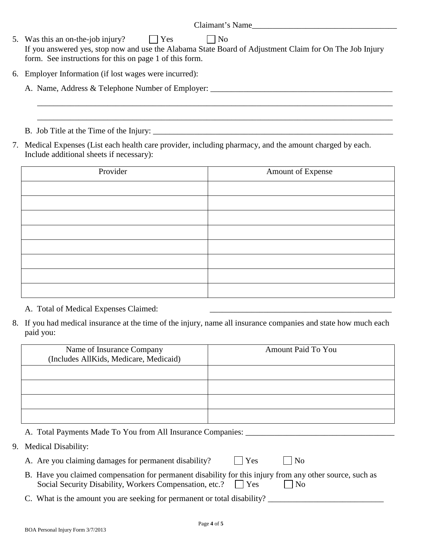5. Was this an on-the-job injury?  $|$  | Yes | | No If you answered yes, stop now and use the Alabama State Board of Adjustment Claim for On The Job Injury form. See instructions for this on page 1 of this form.

\_\_\_\_\_\_\_\_\_\_\_\_\_\_\_\_\_\_\_\_\_\_\_\_\_\_\_\_\_\_\_\_\_\_\_\_\_\_\_\_\_\_\_\_\_\_\_\_\_\_\_\_\_\_\_\_\_\_\_\_\_\_\_\_\_\_\_\_\_\_\_\_\_\_\_\_\_\_\_\_\_\_\_\_\_\_

\_\_\_\_\_\_\_\_\_\_\_\_\_\_\_\_\_\_\_\_\_\_\_\_\_\_\_\_\_\_\_\_\_\_\_\_\_\_\_\_\_\_\_\_\_\_\_\_\_\_\_\_\_\_\_\_\_\_\_\_\_\_\_\_\_\_\_\_\_\_\_\_\_\_\_\_\_\_\_\_\_\_\_\_\_\_

- 6. Employer Information (if lost wages were incurred):
	- A. Name, Address & Telephone Number of Employer: \_\_\_\_\_\_\_\_\_\_\_\_\_\_\_\_\_\_\_\_\_\_\_\_\_\_\_\_\_\_\_\_
	- B. Job Title at the Time of the Injury: \_\_\_\_\_\_\_\_\_\_\_\_\_\_\_\_\_\_\_\_\_\_\_\_\_\_\_\_\_\_\_\_\_\_\_\_\_\_\_\_\_\_\_\_\_\_\_\_\_\_\_\_\_\_\_\_\_\_
- 7. Medical Expenses (List each health care provider, including pharmacy, and the amount charged by each. Include additional sheets if necessary):

| Provider | Amount of Expense |
|----------|-------------------|
|          |                   |
|          |                   |
|          |                   |
|          |                   |
|          |                   |
|          |                   |
|          |                   |
|          |                   |

- A. Total of Medical Expenses Claimed:
- 8. If you had medical insurance at the time of the injury, name all insurance companies and state how much each paid you:

| Name of Insurance Company<br>(Includes AllKids, Medicare, Medicaid) | Amount Paid To You |
|---------------------------------------------------------------------|--------------------|
|                                                                     |                    |
|                                                                     |                    |
|                                                                     |                    |
|                                                                     |                    |

- A. Total Payments Made To You from All Insurance Companies: \_\_\_\_\_\_\_\_\_\_\_\_\_\_\_\_\_\_\_\_\_\_\_\_\_\_\_\_\_\_\_\_\_\_\_\_
- 9. Medical Disability:
	- A. Are you claiming damages for permanent disability? Ses No
		-
	- B. Have you claimed compensation for permanent disability for this injury from any other source, such as Social Security Disability, Workers Compensation, etc.? The Yes No
	- C. What is the amount you are seeking for permanent or total disability?